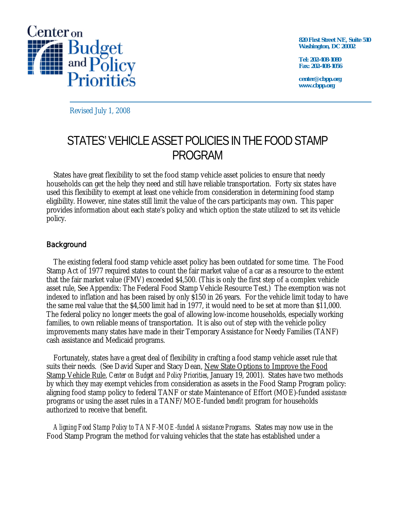

**820 First Street NE, Suite 510 Washington, DC 20002** 

**Tel: 202-408-1080 Fax: 202-408-1056** 

**center@cbpp.org www.cbpp.org** 

Revised July 1, 2008

# STATES' VEHICLE ASSET POLICIES IN THE FOOD STAMP PROGRAM

 States have great flexibility to set the food stamp vehicle asset policies to ensure that needy households can get the help they need and still have reliable transportation. Forty six states have used this flexibility to exempt at least one vehicle from consideration in determining food stamp eligibility. However, nine states still limit the value of the cars participants may own. This paper provides information about each state's policy and which option the state utilized to set its vehicle policy.

# **Background**

 The existing federal food stamp vehicle asset policy has been outdated for some time. The Food Stamp Act of 1977 required states to count the fair market value of a car as a resource to the extent that the fair market value (FMV) exceeded \$4,500. (This is only the first step of a complex vehicle asset rule, See Appendix: The Federal Food Stamp Vehicle Resource Test.) The exemption was not indexed to inflation and has been raised by only \$150 in 26 years. For the vehicle limit today to have the same real value that the \$4,500 limit had in 1977, it would need to be set at more than \$11,000. The federal policy no longer meets the goal of allowing low-income households, especially working families, to own reliable means of transportation. It is also out of step with the vehicle policy improvements many states have made in their Temporary Assistance for Needy Families (TANF) cash assistance and Medicaid programs.

 Fortunately, states have a great deal of flexibility in crafting a food stamp vehicle asset rule that suits their needs. (See David Super and Stacy Dean, New State Options to Improve the Food Stamp Vehicle Rule, *Center on Budget and Policy Priorities*, January 19, 2001). States have two methods by which they may exempt vehicles from consideration as assets in the Food Stamp Program policy: aligning food stamp policy to federal TANF or state Maintenance of Effort (MOE)-funded *assistance* programs or using the asset rules in a TANF/MOE-funded *benefit* program for households authorized to receive that benefit.

*Aligning Food Stamp Policy to TANF-MOE-funded Assistance Programs*. States may now use in the Food Stamp Program the method for valuing vehicles that the state has established under a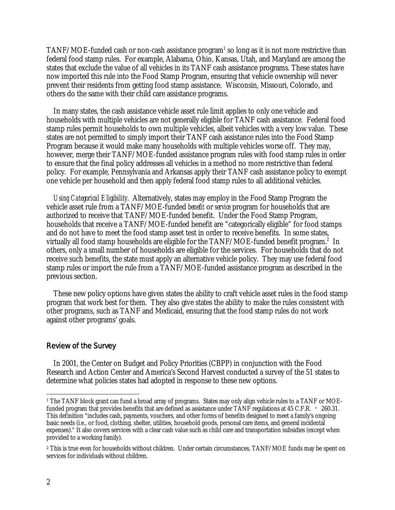TANF/MOE-funded cash or non-cash assistance program $^{\text{1}}$  so long as it is not more restrictive than federal food stamp rules. For example, Alabama, Ohio, Kansas, Utah, and Maryland are among the states that exclude the value of all vehicles in its TANF cash assistance programs. These states have now imported this rule into the Food Stamp Program, ensuring that vehicle ownership will never prevent their residents from getting food stamp assistance. Wisconsin, Missouri, Colorado, and others do the same with their child care assistance programs.

 In many states, the cash assistance vehicle asset rule limit applies to only one vehicle and households with multiple vehicles are not generally eligible for TANF cash assistance. Federal food stamp rules permit households to own multiple vehicles, albeit vehicles with a very low value. These states are not permitted to simply import their TANF cash assistance rules into the Food Stamp Program because it would make many households with multiple vehicles worse off. They may, however, merge their TANF/MOE-funded assistance program rules with food stamp rules in order to ensure that the final policy addresses all vehicles in a method no more restrictive than federal policy. For example, Pennsylvania and Arkansas apply their TANF cash assistance policy to exempt one vehicle per household and then apply federal food stamp rules to all additional vehicles.

*Using Categorical Eligibility*. Alternatively, states may employ in the Food Stamp Program the vehicle asset rule from a TANF/MOE-funded *benefit* or *service* program for households that are authorized to receive that TANF/MOE-funded benefit. Under the Food Stamp Program, households that receive a TANF/MOE-funded benefit are "categorically eligible" for food stamps and do not have to meet the food stamp asset test in order to receive benefits. In some states, virtually all food stamp households are eligible for the  $\text{TANF/MOE-fanded benefit program}^2$  In others, only a small number of households are eligible for the services. For households that do not receive such benefits, the state must apply an alternative vehicle policy. They may use federal food stamp rules or import the rule from a TANF/MOE-funded assistance program as described in the previous section.

 These new policy options have given states the ability to craft vehicle asset rules in the food stamp program that work best for them. They also give states the ability to make the rules consistent with other programs, such as TANF and Medicaid, ensuring that the food stamp rules do not work against other programs' goals.

#### Review of the Survey

 In 2001, the Center on Budget and Policy Priorities (CBPP) in conjunction with the Food Research and Action Center and America's Second Harvest conducted a survey of the 51 states to determine what policies states had adopted in response to these new options.

<sup>-</sup><sup>1</sup> The TANF block grant can fund a broad array of programs. States may only align vehicle rules to a TANF or MOEfunded program that provides benefits that are defined as assistance under TANF regulations at 45 C.F.R. ' 260.31. This definition "includes cash, payments, vouchers, and other forms of benefits designed to meet a family's ongoing basic needs (i.e., or food, clothing, shelter, utilities, household goods, personal care items, and general incidental expenses)." It also covers services with a clear cash value such as child care and transportation subsidies (except when provided to a working family).

<sup>&</sup>lt;sup>2</sup> This is true even for households without children. Under certain circumstances, TANF/MOE funds may be spent on services for individuals without children.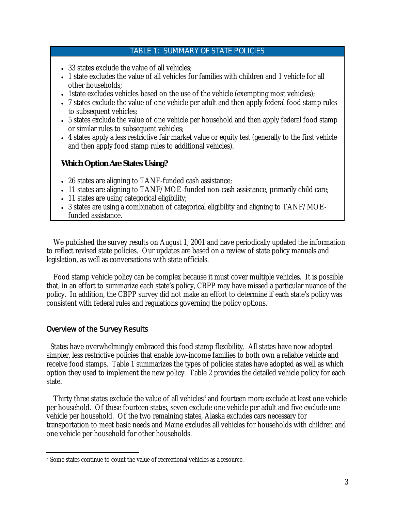#### TABLE 1: SUMMARY OF STATE POLICIES

- 33 states exclude the value of all vehicles;
- 1 state excludes the value of all vehicles for families with children and 1 vehicle for all other households;
- 1state excludes vehicles based on the use of the vehicle (exempting most vehicles);
- 7 states exclude the value of one vehicle per adult and then apply federal food stamp rules to subsequent vehicles;
- 5 states exclude the value of one vehicle per household and then apply federal food stamp or similar rules to subsequent vehicles;
- 4 states apply a less restrictive fair market value or equity test (generally to the first vehicle and then apply food stamp rules to additional vehicles).

### **Which Option Are States Using?**

- 26 states are aligning to TANF-funded cash assistance;
- 11 states are aligning to TANF/MOE-funded non-cash assistance, primarily child care;
- 11 states are using categorical eligibility;
- 3 states are using a combination of categorical eligibility and aligning to TANF/MOEfunded assistance.

 We published the survey results on August 1, 2001 and have periodically updated the information to reflect revised state policies. Our updates are based on a review of state policy manuals and legislation, as well as conversations with state officials.

 Food stamp vehicle policy can be complex because it must cover multiple vehicles. It is possible that, in an effort to summarize each state's policy, CBPP may have missed a particular nuance of the policy. In addition, the CBPP survey did not make an effort to determine if each state's policy was consistent with federal rules and regulations governing the policy options.

## Overview of the Survey Results

 $\overline{a}$ 

 States have overwhelmingly embraced this food stamp flexibility. All states have now adopted simpler, less restrictive policies that enable low-income families to both own a reliable vehicle and receive food stamps. Table 1 summarizes the types of policies states have adopted as well as which option they used to implement the new policy. Table 2 provides the detailed vehicle policy for each state.

Thirty three states exclude the value of all vehicles<sup>3</sup> and fourteen more exclude at least one vehicle per household. Of these fourteen states, seven exclude one vehicle per adult and five exclude one vehicle per household. Of the two remaining states, Alaska excludes cars necessary for transportation to meet basic needs and Maine excludes all vehicles for households with children and one vehicle per household for other households.

<sup>3</sup> Some states continue to count the value of recreational vehicles as a resource.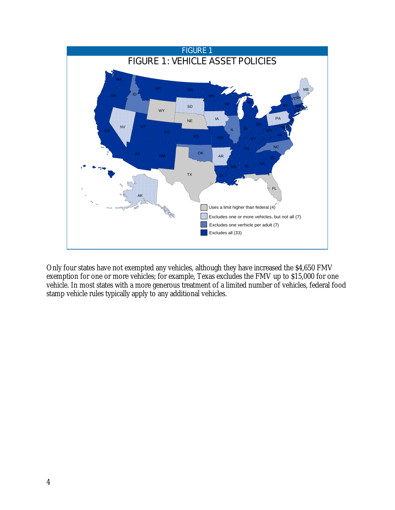

Only four states have not exempted any vehicles, although they have increased the \$4,650 FMV exemption for one or more vehicles; for example, Texas excludes the FMV up to \$15,000 for one vehicle. In most states with a more generous treatment of a limited number of vehicles, federal food stamp vehicle rules typically apply to any additional vehicles.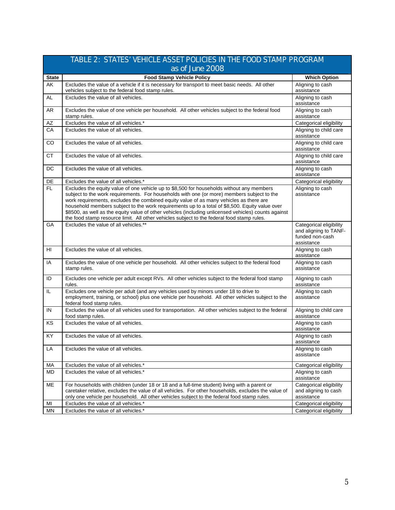| TABLE 2: STATES' VEHICLE ASSET POLICIES IN THE FOOD STAMP PROGRAM<br>as of June 2008 |                                                                                                                                                                                                                                                                                                                                                                                                                                                                                                                                                                                           |                                                                                   |  |  |
|--------------------------------------------------------------------------------------|-------------------------------------------------------------------------------------------------------------------------------------------------------------------------------------------------------------------------------------------------------------------------------------------------------------------------------------------------------------------------------------------------------------------------------------------------------------------------------------------------------------------------------------------------------------------------------------------|-----------------------------------------------------------------------------------|--|--|
| <b>State</b>                                                                         | <b>Food Stamp Vehicle Policy</b>                                                                                                                                                                                                                                                                                                                                                                                                                                                                                                                                                          | <b>Which Option</b>                                                               |  |  |
| AK                                                                                   | Excludes the value of a vehicle if it is necessary for transport to meet basic needs. All other<br>vehicles subject to the federal food stamp rules.                                                                                                                                                                                                                                                                                                                                                                                                                                      | Aligning to cash<br>assistance                                                    |  |  |
| AL                                                                                   | Excludes the value of all vehicles.                                                                                                                                                                                                                                                                                                                                                                                                                                                                                                                                                       | Aligning to cash<br>assistance                                                    |  |  |
| AR                                                                                   | Excludes the value of one vehicle per household. All other vehicles subject to the federal food<br>stamp rules.                                                                                                                                                                                                                                                                                                                                                                                                                                                                           | Aligning to cash<br>assistance                                                    |  |  |
| AZ                                                                                   | Excludes the value of all vehicles.*                                                                                                                                                                                                                                                                                                                                                                                                                                                                                                                                                      | Categorical eligibility                                                           |  |  |
| CA                                                                                   | Excludes the value of all vehicles.                                                                                                                                                                                                                                                                                                                                                                                                                                                                                                                                                       | Aligning to child care<br>assistance                                              |  |  |
| CO                                                                                   | Excludes the value of all vehicles.                                                                                                                                                                                                                                                                                                                                                                                                                                                                                                                                                       | Aligning to child care<br>assistance                                              |  |  |
| <b>CT</b>                                                                            | Excludes the value of all vehicles.                                                                                                                                                                                                                                                                                                                                                                                                                                                                                                                                                       | Aligning to child care<br>assistance                                              |  |  |
| <b>DC</b>                                                                            | Excludes the value of all vehicles.                                                                                                                                                                                                                                                                                                                                                                                                                                                                                                                                                       | Aligning to cash<br>assistance                                                    |  |  |
| DE                                                                                   | Excludes the value of all vehicles.*                                                                                                                                                                                                                                                                                                                                                                                                                                                                                                                                                      | Categorical eligibility                                                           |  |  |
| FL                                                                                   | Excludes the equity value of one vehicle up to \$8,500 for households without any members<br>subject to the work requirements. For households with one (or more) members subject to the<br>work requirements, excludes the combined equity value of as many vehicles as there are<br>household members subject to the work requirements up to a total of \$8,500. Equity value over<br>\$8500, as well as the equity value of other vehicles (including unlicensed vehicles) counts against<br>the food stamp resource limit. All other vehicles subject to the federal food stamp rules. | Aligning to cash<br>assistance                                                    |  |  |
| GA                                                                                   | Excludes the value of all vehicles.**                                                                                                                                                                                                                                                                                                                                                                                                                                                                                                                                                     | Categorical eligibility<br>and aligning to TANF-<br>funded non-cash<br>assistance |  |  |
| H <sub>II</sub>                                                                      | Excludes the value of all vehicles.                                                                                                                                                                                                                                                                                                                                                                                                                                                                                                                                                       | Aligning to cash<br>assistance                                                    |  |  |
| IA                                                                                   | Excludes the value of one vehicle per household. All other vehicles subject to the federal food<br>stamp rules.                                                                                                                                                                                                                                                                                                                                                                                                                                                                           | Aligning to cash<br>assistance                                                    |  |  |
| ID                                                                                   | Excludes one vehicle per adult except RVs. All other vehicles subject to the federal food stamp<br>rules.                                                                                                                                                                                                                                                                                                                                                                                                                                                                                 | Aligning to cash<br>assistance                                                    |  |  |
| IL                                                                                   | Excludes one vehicle per adult (and any vehicles used by minors under 18 to drive to<br>employment, training, or school) plus one vehicle per household. All other vehicles subject to the<br>federal food stamp rules.                                                                                                                                                                                                                                                                                                                                                                   | Aligning to cash<br>assistance                                                    |  |  |
| IN                                                                                   | Excludes the value of all vehicles used for transportation. All other vehicles subject to the federal<br>food stamp rules.                                                                                                                                                                                                                                                                                                                                                                                                                                                                | Aligning to child care<br>assistance                                              |  |  |
| KS                                                                                   | Excludes the value of all vehicles.                                                                                                                                                                                                                                                                                                                                                                                                                                                                                                                                                       | Aligning to cash<br>assistance                                                    |  |  |
| KY.                                                                                  | Excludes the value of all vehicles.                                                                                                                                                                                                                                                                                                                                                                                                                                                                                                                                                       | Aligning to cash<br>assistance                                                    |  |  |
| LA                                                                                   | Excludes the value of all vehicles.                                                                                                                                                                                                                                                                                                                                                                                                                                                                                                                                                       | Aligning to cash<br>assistance                                                    |  |  |
| MA                                                                                   | Excludes the value of all vehicles.*                                                                                                                                                                                                                                                                                                                                                                                                                                                                                                                                                      | Categorical eligibility                                                           |  |  |
| <b>MD</b>                                                                            | Excludes the value of all vehicles.*                                                                                                                                                                                                                                                                                                                                                                                                                                                                                                                                                      | Aligning to cash<br>assistance                                                    |  |  |
| МE                                                                                   | For households with children (under 18 or 18 and a full-time student) living with a parent or<br>caretaker relative, excludes the value of all vehicles. For other households, excludes the value of<br>only one vehicle per household. All other vehicles subject to the federal food stamp rules.                                                                                                                                                                                                                                                                                       | Categorical eligibility<br>and aligning to cash<br>assistance                     |  |  |
| MI                                                                                   | Excludes the value of all vehicles.*                                                                                                                                                                                                                                                                                                                                                                                                                                                                                                                                                      | Categorical eligibility                                                           |  |  |
| MN                                                                                   | Excludes the value of all vehicles.*                                                                                                                                                                                                                                                                                                                                                                                                                                                                                                                                                      | Categorical eligibility                                                           |  |  |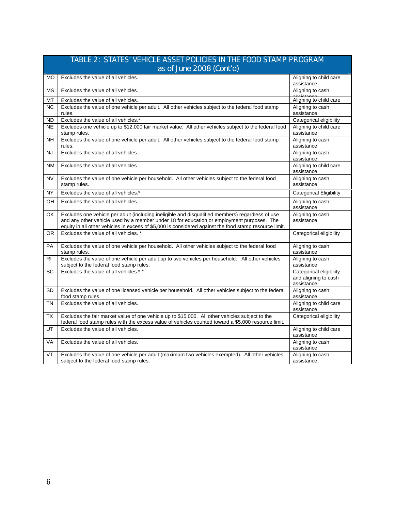|                          | TABLE 2: STATES' VEHICLE ASSET POLICIES IN THE FOOD STAMP PROGRAM                                                                                                                                                                                                                                       |                                                               |  |  |
|--------------------------|---------------------------------------------------------------------------------------------------------------------------------------------------------------------------------------------------------------------------------------------------------------------------------------------------------|---------------------------------------------------------------|--|--|
| as of June 2008 (Cont'd) |                                                                                                                                                                                                                                                                                                         |                                                               |  |  |
| МO                       | Excludes the value of all vehicles.                                                                                                                                                                                                                                                                     | Aligning to child care<br>assistance                          |  |  |
| <b>MS</b>                | Excludes the value of all vehicles.                                                                                                                                                                                                                                                                     | Aligning to cash                                              |  |  |
| MT                       | Excludes the value of all vehicles.                                                                                                                                                                                                                                                                     | Aligning to child care                                        |  |  |
| <b>NC</b>                | Excludes the value of one vehicle per adult. All other vehicles subject to the federal food stamp<br>rules.                                                                                                                                                                                             | Aligning to cash<br>assistance                                |  |  |
| ND                       | Excludes the value of all vehicles.*                                                                                                                                                                                                                                                                    | Categorical eligibility                                       |  |  |
| <b>NE</b>                | Excludes one vehicle up to \$12,000 fair market value. All other vehicles subject to the federal food<br>stamp rules.                                                                                                                                                                                   | Aligning to child care<br>assistance                          |  |  |
| <b>NH</b>                | Excludes the value of one vehicle per adult. All other vehicles subject to the federal food stamp<br>rules.                                                                                                                                                                                             | Aligning to cash<br>assistance                                |  |  |
| <b>NJ</b>                | Excludes the value of all vehicles.                                                                                                                                                                                                                                                                     | Aligning to cash<br>assistance                                |  |  |
| ΝM                       | Excludes the value of all vehicles                                                                                                                                                                                                                                                                      | Aligning to child care<br>assistance                          |  |  |
| <b>NV</b>                | Excludes the value of one vehicle per household. All other vehicles subject to the federal food<br>stamp rules.                                                                                                                                                                                         | Aligning to cash<br>assistance                                |  |  |
| <b>NY</b>                | Excludes the value of all vehicles.*                                                                                                                                                                                                                                                                    | <b>Categorical Eligibility</b>                                |  |  |
| OH                       | Excludes the value of all vehicles.                                                                                                                                                                                                                                                                     | Aligning to cash<br>assistance                                |  |  |
| OK                       | Excludes one vehicle per adult (including ineligible and disqualified members) regardless of use<br>and any other vehicle used by a member under 18 for education or employment purposes. The<br>equity in all other vehicles in excess of \$5,000 is considered against the food stamp resource limit. | Aligning to cash<br>assistance                                |  |  |
| <b>OR</b>                | Excludes the value of all vehicles. *                                                                                                                                                                                                                                                                   | Categorical eligibility                                       |  |  |
| PA                       | Excludes the value of one vehicle per household. All other vehicles subject to the federal food<br>stamp rules.                                                                                                                                                                                         | Aligning to cash<br>assistance                                |  |  |
| RI                       | Excludes the value of one vehicle per adult up to two vehicles per household. All other vehicles<br>subject to the federal food stamp rules.                                                                                                                                                            | Aligning to cash<br>assistance                                |  |  |
| <b>SC</b>                | Excludes the value of all vehicles.**                                                                                                                                                                                                                                                                   | Categorical eligibility<br>and aligning to cash<br>assistance |  |  |
| <b>SD</b>                | Excludes the value of one licensed vehicle per household. All other vehicles subject to the federal<br>food stamp rules.                                                                                                                                                                                | Aligning to cash<br>assistance                                |  |  |
| <b>TN</b>                | Excludes the value of all vehicles.                                                                                                                                                                                                                                                                     | Aligning to child care<br>assistance                          |  |  |
| ТX                       | Excludes the fair market value of one vehicle up to \$15,000. All other vehicles subject to the<br>federal food stamp rules with the excess value of vehicles counted toward a \$5,000 resource limit.                                                                                                  | Categorical eligibility                                       |  |  |
| <b>UT</b>                | Excludes the value of all vehicles.                                                                                                                                                                                                                                                                     | Aligning to child care<br>assistance                          |  |  |
| <b>VA</b>                | Excludes the value of all vehicles.                                                                                                                                                                                                                                                                     | Aligning to cash<br>assistance                                |  |  |
| <b>VT</b>                | Excludes the value of one vehicle per adult (maximum two vehicles exempted). All other vehicles<br>subject to the federal food stamp rules.                                                                                                                                                             | Aligning to cash<br>assistance                                |  |  |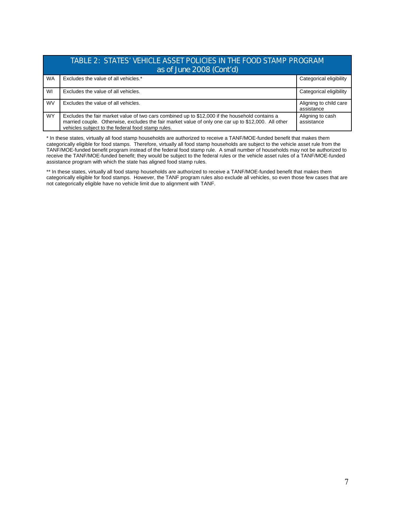| TABLE 2: STATES' VEHICLE ASSET POLICIES IN THE FOOD STAMP PROGRAM<br>as of June 2008 (Cont'd) |                                                                                                                                                                                                                                                            |                                      |  |
|-----------------------------------------------------------------------------------------------|------------------------------------------------------------------------------------------------------------------------------------------------------------------------------------------------------------------------------------------------------------|--------------------------------------|--|
| <b>WA</b>                                                                                     | Excludes the value of all vehicles.*                                                                                                                                                                                                                       | Categorical eligibility              |  |
| WI                                                                                            | Excludes the value of all vehicles.                                                                                                                                                                                                                        | Categorical eligibility              |  |
| <b>WV</b>                                                                                     | Excludes the value of all vehicles.                                                                                                                                                                                                                        | Aligning to child care<br>assistance |  |
| <b>WY</b>                                                                                     | Excludes the fair market value of two cars combined up to \$12,000 if the household contains a<br>married couple. Otherwise, excludes the fair market value of only one car up to \$12,000. All other<br>vehicles subject to the federal food stamp rules. | Aligning to cash<br>assistance       |  |

\* In these states, virtually all food stamp households are authorized to receive a TANF/MOE-funded benefit that makes them categorically eligible for food stamps. Therefore, virtually all food stamp households are subject to the vehicle asset rule from the TANF/MOE-funded benefit program instead of the federal food stamp rule. A small number of households may not be authorized to receive the TANF/MOE-funded benefit; they would be subject to the federal rules or the vehicle asset rules of a TANF/MOE-funded assistance program with which the state has aligned food stamp rules.

\*\* In these states, virtually all food stamp households are authorized to receive a TANF/MOE-funded benefit that makes them categorically eligible for food stamps. However, the TANF program rules also exclude all vehicles, so even those few cases that are not categorically eligible have no vehicle limit due to alignment with TANF.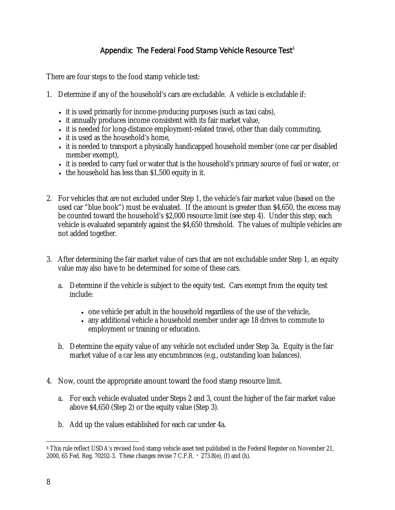# Appendix: The Federal Food Stamp Vehicle Resource Test $4$

There are four steps to the food stamp vehicle test:

- 1. Determine if any of the household's cars are excludable. A vehicle is excludable if:
	- it is used primarily for income-producing purposes (such as taxi cabs),
	- it annually produces income consistent with its fair market value,
	- it is needed for long-distance employment-related travel, other than daily commuting,
	- it is used as the household's home,
	- it is needed to transport a physically handicapped household member (one car per disabled member exempt),
	- it is needed to carry fuel or water that is the household's primary source of fuel or water, or
	- the household has less than \$1,500 equity in it.
- 2. For vehicles that are not excluded under Step 1, the vehicle's fair market value (based on the used car "blue book") must be evaluated. If the amount is greater than \$4,650, the excess may be counted toward the household's \$2,000 resource limit (see step 4). Under this step, each vehicle is evaluated separately against the \$4,650 threshold. The values of multiple vehicles are not added together.
- 3. After determining the fair market value of cars that are not excludable under Step 1, an equity value may also have to be determined for some of these cars.
	- a. Determine if the vehicle is subject to the equity test. Cars exempt from the equity test include:
		- one vehicle per adult in the household regardless of the use of the vehicle,
		- any additional vehicle a household member under age 18 drives to commute to employment or training or education.
	- b. Determine the equity value of any vehicle not excluded under Step 3a. Equity is the fair market value of a car less any encumbrances (e.g., outstanding loan balances).
- 4. Now, count the appropriate amount toward the food stamp resource limit.
	- a. For each vehicle evaluated under Steps 2 and 3, count the higher of the fair market value above \$4,650 (Step 2) or the equity value (Step 3).
	- b. Add up the values established for each car under 4a.

 $\overline{a}$ 4 This rule reflect USDA's revised food stamp vehicle asset test published in the Federal Register on November 21, 2000, 65 Fed. Reg. 70202-3. These changes revise 7 C.F.R. ' 273.8(e), (f) and (h).